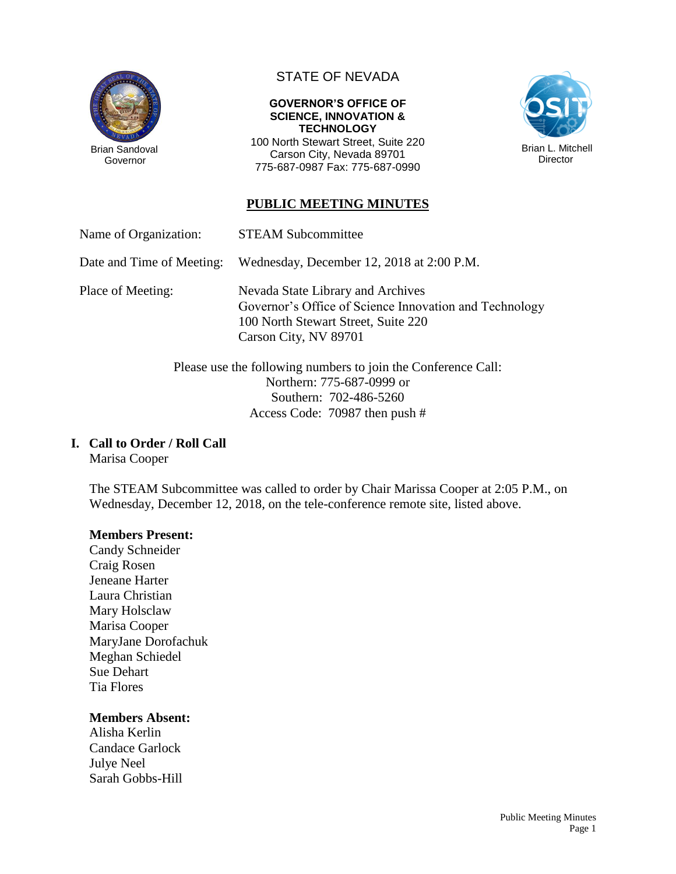

Governor

# STATE OF NEVADA

#### **GOVERNOR'S OFFICE OF SCIENCE, INNOVATION & TECHNOLOGY**

100 North Stewart Street, Suite 220 Carson City, Nevada 89701 775-687-0987 Fax: 775-687-0990



# **PUBLIC MEETING MINUTES**

Name of Organization: STEAM Subcommittee

Date and Time of Meeting: Wednesday, December 12, 2018 at 2:00 P.M.

Place of Meeting: Nevada State Library and Archives Governor's Office of Science Innovation and Technology 100 North Stewart Street, Suite 220 Carson City, NV 89701

> Please use the following numbers to join the Conference Call: Northern: 775-687-0999 or Southern: 702-486-5260 Access Code: 70987 then push #

## **I. Call to Order / Roll Call**

Marisa Cooper

The STEAM Subcommittee was called to order by Chair Marissa Cooper at 2:05 P.M., on Wednesday, December 12, 2018, on the tele-conference remote site, listed above.

#### **Members Present:**

Candy Schneider Craig Rosen Jeneane Harter Laura Christian Mary Holsclaw Marisa Cooper MaryJane Dorofachuk Meghan Schiedel Sue Dehart Tia Flores

#### **Members Absent:**

Alisha Kerlin Candace Garlock Julye Neel Sarah Gobbs-Hill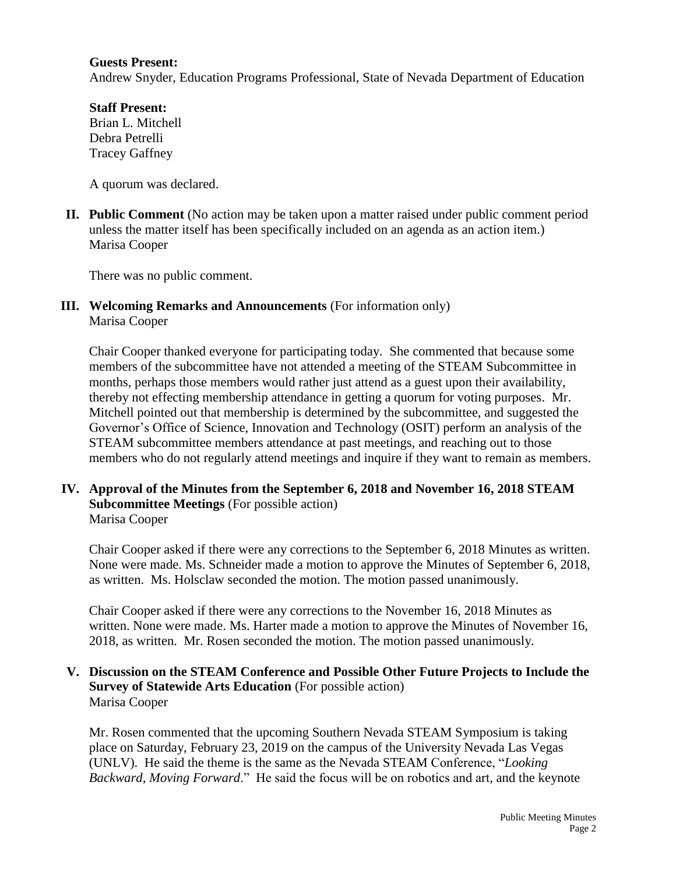#### **Guests Present:**

Andrew Snyder, Education Programs Professional, State of Nevada Department of Education

**Staff Present:** Brian L. Mitchell Debra Petrelli Tracey Gaffney

A quorum was declared.

**II. Public Comment** (No action may be taken upon a matter raised under public comment period unless the matter itself has been specifically included on an agenda as an action item.) Marisa Cooper

There was no public comment.

**III. Welcoming Remarks and Announcements** (For information only) Marisa Cooper

Chair Cooper thanked everyone for participating today. She commented that because some members of the subcommittee have not attended a meeting of the STEAM Subcommittee in months, perhaps those members would rather just attend as a guest upon their availability, thereby not effecting membership attendance in getting a quorum for voting purposes. Mr. Mitchell pointed out that membership is determined by the subcommittee, and suggested the Governor's Office of Science, Innovation and Technology (OSIT) perform an analysis of the STEAM subcommittee members attendance at past meetings, and reaching out to those members who do not regularly attend meetings and inquire if they want to remain as members.

**IV. Approval of the Minutes from the September 6, 2018 and November 16, 2018 STEAM Subcommittee Meetings** (For possible action) Marisa Cooper

Chair Cooper asked if there were any corrections to the September 6, 2018 Minutes as written. None were made. Ms. Schneider made a motion to approve the Minutes of September 6, 2018, as written. Ms. Holsclaw seconded the motion. The motion passed unanimously.

Chair Cooper asked if there were any corrections to the November 16, 2018 Minutes as written. None were made. Ms. Harter made a motion to approve the Minutes of November 16, 2018, as written. Mr. Rosen seconded the motion. The motion passed unanimously.

#### **V. Discussion on the STEAM Conference and Possible Other Future Projects to Include the Survey of Statewide Arts Education** (For possible action) Marisa Cooper

Mr. Rosen commented that the upcoming Southern Nevada STEAM Symposium is taking place on Saturday, February 23, 2019 on the campus of the University Nevada Las Vegas (UNLV). He said the theme is the same as the Nevada STEAM Conference, "*Looking Backward, Moving Forward*." He said the focus will be on robotics and art, and the keynote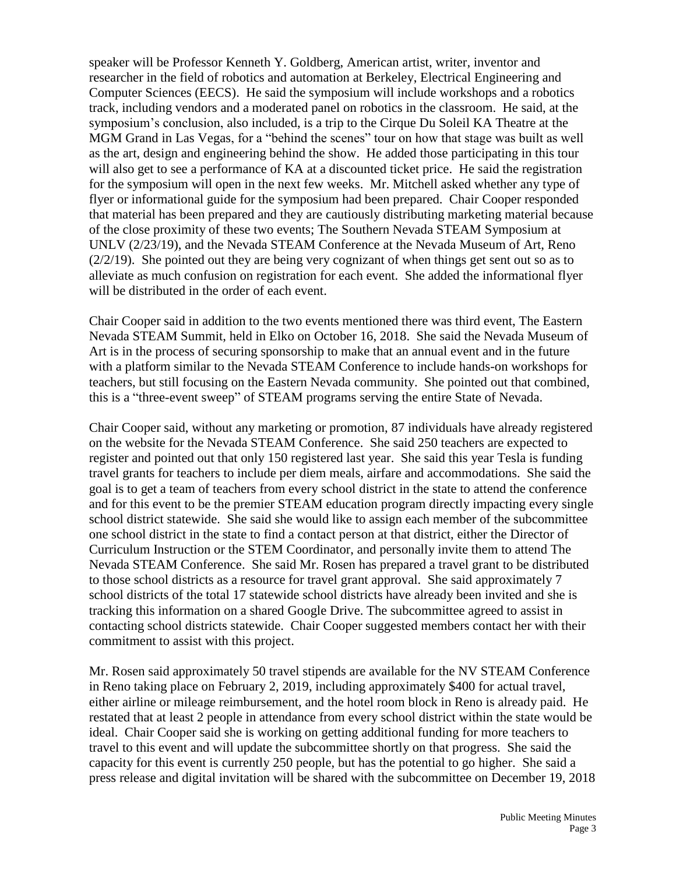speaker will be Professor Kenneth Y. Goldberg, American artist, writer, inventor and researcher in the field of robotics and automation at Berkeley, Electrical Engineering and Computer Sciences (EECS). He said the symposium will include workshops and a robotics track, including vendors and a moderated panel on robotics in the classroom. He said, at the symposium's conclusion, also included, is a trip to the Cirque Du Soleil KA Theatre at the MGM Grand in Las Vegas, for a "behind the scenes" tour on how that stage was built as well as the art, design and engineering behind the show. He added those participating in this tour will also get to see a performance of KA at a discounted ticket price. He said the registration for the symposium will open in the next few weeks. Mr. Mitchell asked whether any type of flyer or informational guide for the symposium had been prepared. Chair Cooper responded that material has been prepared and they are cautiously distributing marketing material because of the close proximity of these two events; The Southern Nevada STEAM Symposium at UNLV (2/23/19), and the Nevada STEAM Conference at the Nevada Museum of Art, Reno (2/2/19). She pointed out they are being very cognizant of when things get sent out so as to alleviate as much confusion on registration for each event. She added the informational flyer will be distributed in the order of each event.

Chair Cooper said in addition to the two events mentioned there was third event, The Eastern Nevada STEAM Summit, held in Elko on October 16, 2018. She said the Nevada Museum of Art is in the process of securing sponsorship to make that an annual event and in the future with a platform similar to the Nevada STEAM Conference to include hands-on workshops for teachers, but still focusing on the Eastern Nevada community. She pointed out that combined, this is a "three-event sweep" of STEAM programs serving the entire State of Nevada.

Chair Cooper said, without any marketing or promotion, 87 individuals have already registered on the website for the Nevada STEAM Conference. She said 250 teachers are expected to register and pointed out that only 150 registered last year. She said this year Tesla is funding travel grants for teachers to include per diem meals, airfare and accommodations. She said the goal is to get a team of teachers from every school district in the state to attend the conference and for this event to be the premier STEAM education program directly impacting every single school district statewide. She said she would like to assign each member of the subcommittee one school district in the state to find a contact person at that district, either the Director of Curriculum Instruction or the STEM Coordinator, and personally invite them to attend The Nevada STEAM Conference. She said Mr. Rosen has prepared a travel grant to be distributed to those school districts as a resource for travel grant approval. She said approximately 7 school districts of the total 17 statewide school districts have already been invited and she is tracking this information on a shared Google Drive. The subcommittee agreed to assist in contacting school districts statewide. Chair Cooper suggested members contact her with their commitment to assist with this project.

Mr. Rosen said approximately 50 travel stipends are available for the NV STEAM Conference in Reno taking place on February 2, 2019, including approximately \$400 for actual travel, either airline or mileage reimbursement, and the hotel room block in Reno is already paid. He restated that at least 2 people in attendance from every school district within the state would be ideal. Chair Cooper said she is working on getting additional funding for more teachers to travel to this event and will update the subcommittee shortly on that progress. She said the capacity for this event is currently 250 people, but has the potential to go higher. She said a press release and digital invitation will be shared with the subcommittee on December 19, 2018